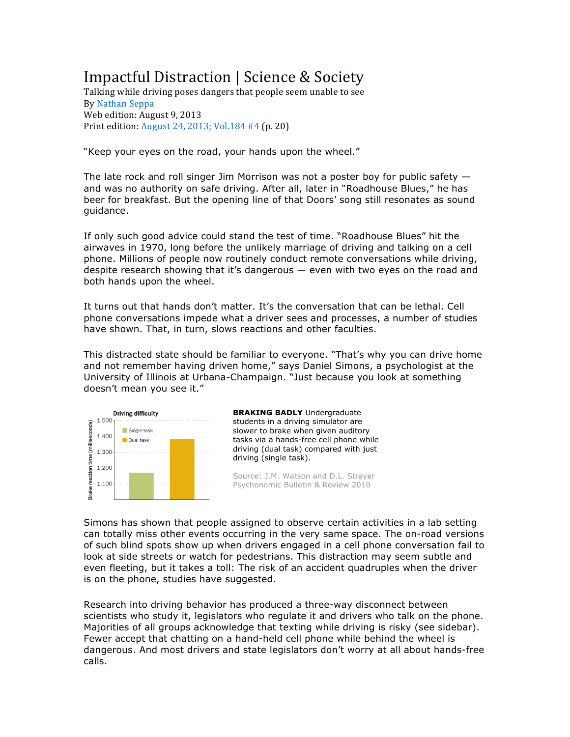# Impactful Distraction | Science & Society

Talking while driving poses dangers that people seem unable to see By Nathan Seppa Web edition: August 9, 2013 Print edition: August 24, 2013; Vol.184  $#4$  (p. 20)

"Keep your eyes on the road, your hands upon the wheel."

The late rock and roll singer Jim Morrison was not a poster boy for public safety  $$ and was no authority on safe driving. After all, later in "Roadhouse Blues," he has beer for breakfast. But the opening line of that Doors' song still resonates as sound guidance.

If only such good advice could stand the test of time. "Roadhouse Blues" hit the airwaves in 1970, long before the unlikely marriage of driving and talking on a cell phone. Millions of people now routinely conduct remote conversations while driving, despite research showing that it's dangerous — even with two eyes on the road and both hands upon the wheel.

It turns out that hands don't matter. It's the conversation that can be lethal. Cell phone conversations impede what a driver sees and processes, a number of studies have shown. That, in turn, slows reactions and other faculties.

This distracted state should be familiar to everyone. "That's why you can drive home and not remember having driven home," says Daniel Simons, a psychologist at the University of Illinois at Urbana-Champaign. "Just because you look at something doesn't mean you see it."



**BRAKING BADLY** Undergraduate students in a driving simulator are slower to brake when given auditory tasks via a hands-free cell phone while driving (dual task) compared with just driving (single task).

Source: J.M. Watson and D.L. Strayer Psychonomic Bulletin & Review 2010

Simons has shown that people assigned to observe certain activities in a lab setting can totally miss other events occurring in the very same space. The on-road versions of such blind spots show up when drivers engaged in a cell phone conversation fail to look at side streets or watch for pedestrians. This distraction may seem subtle and even fleeting, but it takes a toll: The risk of an accident quadruples when the driver is on the phone, studies have suggested.

Research into driving behavior has produced a three-way disconnect between scientists who study it, legislators who regulate it and drivers who talk on the phone. Majorities of all groups acknowledge that texting while driving is risky (see sidebar). Fewer accept that chatting on a hand-held cell phone while behind the wheel is dangerous. And most drivers and state legislators don't worry at all about hands-free calls.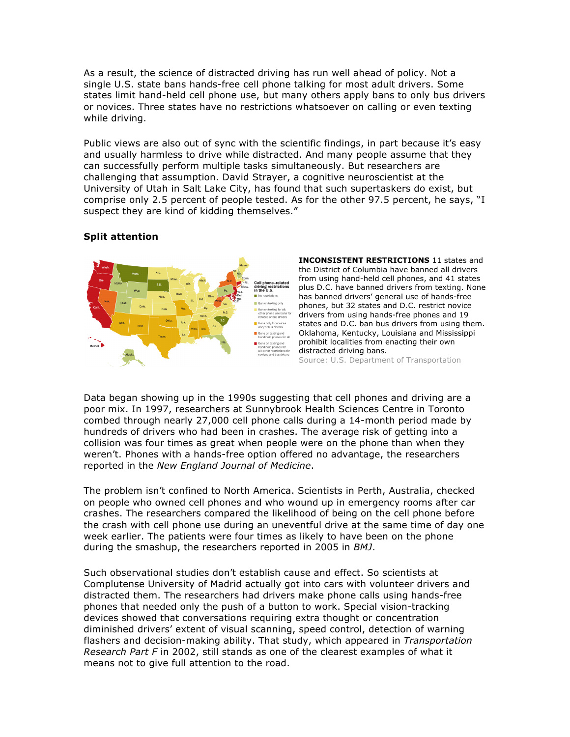As a result, the science of distracted driving has run well ahead of policy. Not a single U.S. state bans hands-free cell phone talking for most adult drivers. Some states limit hand-held cell phone use, but many others apply bans to only bus drivers or novices. Three states have no restrictions whatsoever on calling or even texting while driving.

Public views are also out of sync with the scientific findings, in part because it's easy and usually harmless to drive while distracted. And many people assume that they can successfully perform multiple tasks simultaneously. But researchers are challenging that assumption. David Strayer, a cognitive neuroscientist at the University of Utah in Salt Lake City, has found that such supertaskers do exist, but comprise only 2.5 percent of people tested. As for the other 97.5 percent, he says, "I suspect they are kind of kidding themselves."

# **Split attention**



**INCONSISTENT RESTRICTIONS** 11 states and the District of Columbia have banned all drivers from using hand-held cell phones, and 41 states plus D.C. have banned drivers from texting. None has banned drivers' general use of hands-free phones, but 32 states and D.C. restrict novice drivers from using hands-free phones and 19 states and D.C. ban bus drivers from using them. Oklahoma, Kentucky, Louisiana and Mississippi prohibit localities from enacting their own distracted driving bans. Source: U.S. Department of Transportation

Data began showing up in the 1990s suggesting that cell phones and driving are a poor mix. In 1997, researchers at Sunnybrook Health Sciences Centre in Toronto combed through nearly 27,000 cell phone calls during a 14-month period made by hundreds of drivers who had been in crashes. The average risk of getting into a collision was four times as great when people were on the phone than when they weren't. Phones with a hands-free option offered no advantage, the researchers reported in the *New England Journal of Medicine*.

The problem isn't confined to North America. Scientists in Perth, Australia, checked on people who owned cell phones and who wound up in emergency rooms after car crashes. The researchers compared the likelihood of being on the cell phone before the crash with cell phone use during an uneventful drive at the same time of day one week earlier. The patients were four times as likely to have been on the phone during the smashup, the researchers reported in 2005 in *BMJ*.

Such observational studies don't establish cause and effect. So scientists at Complutense University of Madrid actually got into cars with volunteer drivers and distracted them. The researchers had drivers make phone calls using hands-free phones that needed only the push of a button to work. Special vision-tracking devices showed that conversations requiring extra thought or concentration diminished drivers' extent of visual scanning, speed control, detection of warning flashers and decision-making ability. That study, which appeared in *Transportation Research Part F* in 2002, still stands as one of the clearest examples of what it means not to give full attention to the road.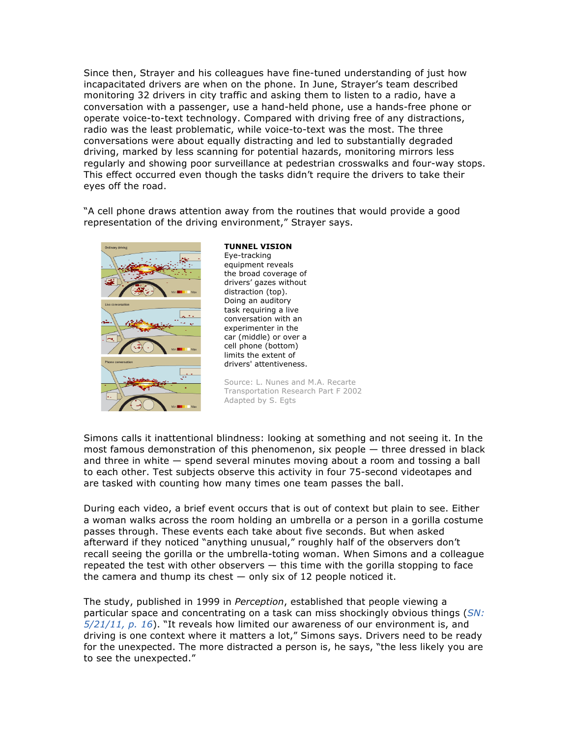Since then, Strayer and his colleagues have fine-tuned understanding of just how incapacitated drivers are when on the phone. In June, Strayer's team described monitoring 32 drivers in city traffic and asking them to listen to a radio, have a conversation with a passenger, use a hand-held phone, use a hands-free phone or operate voice-to-text technology. Compared with driving free of any distractions, radio was the least problematic, while voice-to-text was the most. The three conversations were about equally distracting and led to substantially degraded driving, marked by less scanning for potential hazards, monitoring mirrors less regularly and showing poor surveillance at pedestrian crosswalks and four-way stops. This effect occurred even though the tasks didn't require the drivers to take their eyes off the road.

"A cell phone draws attention away from the routines that would provide a good representation of the driving environment," Strayer says.



**TUNNEL VISION**

Eye-tracking equipment reveals the broad coverage of drivers' gazes without distraction (top). Doing an auditory task requiring a live conversation with an experimenter in the car (middle) or over a cell phone (bottom) limits the extent of drivers' attentiveness.

Source: L. Nunes and M.A. Recarte Transportation Research Part F 2002 Adapted by S. Egts

Simons calls it inattentional blindness: looking at something and not seeing it. In the most famous demonstration of this phenomenon, six people — three dressed in black and three in white — spend several minutes moving about a room and tossing a ball to each other. Test subjects observe this activity in four 75-second videotapes and are tasked with counting how many times one team passes the ball.

During each video, a brief event occurs that is out of context but plain to see. Either a woman walks across the room holding an umbrella or a person in a gorilla costume passes through. These events each take about five seconds. But when asked afterward if they noticed "anything unusual," roughly half of the observers don't recall seeing the gorilla or the umbrella-toting woman. When Simons and a colleague repeated the test with other observers — this time with the gorilla stopping to face the camera and thump its chest  $-$  only six of 12 people noticed it.

The study, published in 1999 in *Perception*, established that people viewing a particular space and concentrating on a task can miss shockingly obvious things (*SN: 5/21/11, p. 16*). "It reveals how limited our awareness of our environment is, and driving is one context where it matters a lot," Simons says. Drivers need to be ready for the unexpected. The more distracted a person is, he says, "the less likely you are to see the unexpected."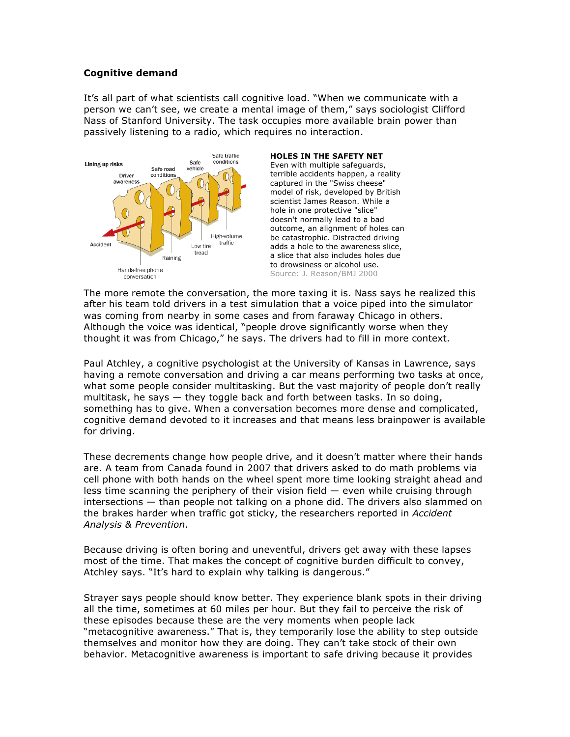## **Cognitive demand**

It's all part of what scientists call cognitive load. "When we communicate with a person we can't see, we create a mental image of them," says sociologist Clifford Nass of Stanford University. The task occupies more available brain power than passively listening to a radio, which requires no interaction.



#### **HOLES IN THE SAFETY NET**

Even with multiple safeguards, terrible accidents happen, a reality captured in the "Swiss cheese" model of risk, developed by British scientist James Reason. While a hole in one protective "slice" doesn't normally lead to a bad outcome, an alignment of holes can be catastrophic. Distracted driving adds a hole to the awareness slice, a slice that also includes holes due to drowsiness or alcohol use. Source: J. Reason/BMJ 2000

The more remote the conversation, the more taxing it is. Nass says he realized this after his team told drivers in a test simulation that a voice piped into the simulator was coming from nearby in some cases and from faraway Chicago in others. Although the voice was identical, "people drove significantly worse when they thought it was from Chicago," he says. The drivers had to fill in more context.

Paul Atchley, a cognitive psychologist at the University of Kansas in Lawrence, says having a remote conversation and driving a car means performing two tasks at once, what some people consider multitasking. But the vast majority of people don't really multitask, he says — they toggle back and forth between tasks. In so doing, something has to give. When a conversation becomes more dense and complicated, cognitive demand devoted to it increases and that means less brainpower is available for driving.

These decrements change how people drive, and it doesn't matter where their hands are. A team from Canada found in 2007 that drivers asked to do math problems via cell phone with both hands on the wheel spent more time looking straight ahead and less time scanning the periphery of their vision field — even while cruising through intersections — than people not talking on a phone did. The drivers also slammed on the brakes harder when traffic got sticky, the researchers reported in *Accident Analysis & Prevention*.

Because driving is often boring and uneventful, drivers get away with these lapses most of the time. That makes the concept of cognitive burden difficult to convey, Atchley says. "It's hard to explain why talking is dangerous."

Strayer says people should know better. They experience blank spots in their driving all the time, sometimes at 60 miles per hour. But they fail to perceive the risk of these episodes because these are the very moments when people lack "metacognitive awareness." That is, they temporarily lose the ability to step outside themselves and monitor how they are doing. They can't take stock of their own behavior. Metacognitive awareness is important to safe driving because it provides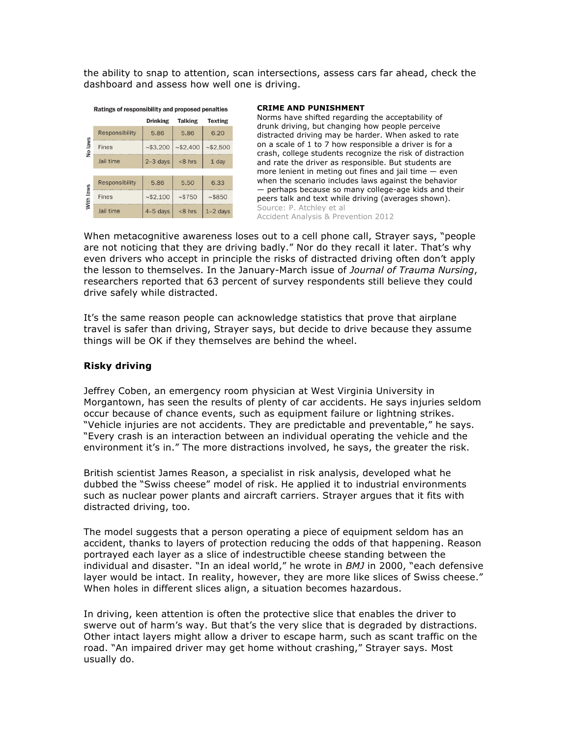the ability to snap to attention, scan intersections, assess cars far ahead, check the dashboard and assess how well one is driving.

| Ratings of responsibility and proposed penalties |                |                 |                |                |
|--------------------------------------------------|----------------|-----------------|----------------|----------------|
|                                                  |                | <b>Drinking</b> | <b>Talking</b> | <b>Texting</b> |
| No laws                                          | Responsibility | 5.86            | 5.86           | 6.20           |
|                                                  | <b>Fines</b>   | ~53,200         | ~52,400        | ~52,500        |
|                                                  | Jail time      | $2-3$ days      | $<8$ hrs       | 1 day          |
|                                                  |                |                 |                |                |
| With laws                                        | Responsibility | 5.86            | 5.50           | 6.33           |
|                                                  | Fines          | ~52,100         | ~15750         | ~5850          |
|                                                  | Jail time      | $4-5$ days      | $<8$ hrs       | $1-2$ days     |

#### **CRIME AND PUNISHMENT**

Norms have shifted regarding the acceptability of drunk driving, but changing how people perceive distracted driving may be harder. When asked to rate on a scale of 1 to 7 how responsible a driver is for a crash, college students recognize the risk of distraction and rate the driver as responsible. But students are more lenient in meting out fines and jail time — even when the scenario includes laws against the behavior — perhaps because so many college-age kids and their peers talk and text while driving (averages shown). Source: P. Atchley et al Accident Analysis & Prevention 2012

When metacognitive awareness loses out to a cell phone call, Strayer says, "people are not noticing that they are driving badly." Nor do they recall it later. That's why even drivers who accept in principle the risks of distracted driving often don't apply the lesson to themselves. In the January-March issue of *Journal of Trauma Nursing*, researchers reported that 63 percent of survey respondents still believe they could drive safely while distracted.

It's the same reason people can acknowledge statistics that prove that airplane travel is safer than driving, Strayer says, but decide to drive because they assume things will be OK if they themselves are behind the wheel.

### **Risky driving**

Jeffrey Coben, an emergency room physician at West Virginia University in Morgantown, has seen the results of plenty of car accidents. He says injuries seldom occur because of chance events, such as equipment failure or lightning strikes. "Vehicle injuries are not accidents. They are predictable and preventable," he says. "Every crash is an interaction between an individual operating the vehicle and the environment it's in." The more distractions involved, he says, the greater the risk.

British scientist James Reason, a specialist in risk analysis, developed what he dubbed the "Swiss cheese" model of risk. He applied it to industrial environments such as nuclear power plants and aircraft carriers. Strayer argues that it fits with distracted driving, too.

The model suggests that a person operating a piece of equipment seldom has an accident, thanks to layers of protection reducing the odds of that happening. Reason portrayed each layer as a slice of indestructible cheese standing between the individual and disaster. "In an ideal world," he wrote in *BMJ* in 2000, "each defensive layer would be intact. In reality, however, they are more like slices of Swiss cheese." When holes in different slices align, a situation becomes hazardous.

In driving, keen attention is often the protective slice that enables the driver to swerve out of harm's way. But that's the very slice that is degraded by distractions. Other intact layers might allow a driver to escape harm, such as scant traffic on the road. "An impaired driver may get home without crashing," Strayer says. Most usually do.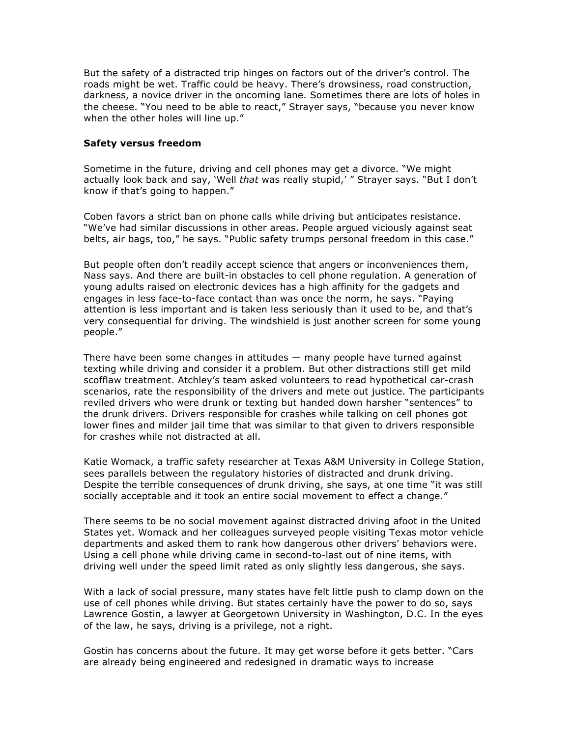But the safety of a distracted trip hinges on factors out of the driver's control. The roads might be wet. Traffic could be heavy. There's drowsiness, road construction, darkness, a novice driver in the oncoming lane. Sometimes there are lots of holes in the cheese. "You need to be able to react," Strayer says, "because you never know when the other holes will line up."

## **Safety versus freedom**

Sometime in the future, driving and cell phones may get a divorce. "We might actually look back and say, 'Well *that* was really stupid,' " Strayer says. "But I don't know if that's going to happen."

Coben favors a strict ban on phone calls while driving but anticipates resistance. "We've had similar discussions in other areas. People argued viciously against seat belts, air bags, too," he says. "Public safety trumps personal freedom in this case."

But people often don't readily accept science that angers or inconveniences them, Nass says. And there are built-in obstacles to cell phone regulation. A generation of young adults raised on electronic devices has a high affinity for the gadgets and engages in less face-to-face contact than was once the norm, he says. "Paying attention is less important and is taken less seriously than it used to be, and that's very consequential for driving. The windshield is just another screen for some young people."

There have been some changes in attitudes — many people have turned against texting while driving and consider it a problem. But other distractions still get mild scofflaw treatment. Atchley's team asked volunteers to read hypothetical car-crash scenarios, rate the responsibility of the drivers and mete out justice. The participants reviled drivers who were drunk or texting but handed down harsher "sentences" to the drunk drivers. Drivers responsible for crashes while talking on cell phones got lower fines and milder jail time that was similar to that given to drivers responsible for crashes while not distracted at all.

Katie Womack, a traffic safety researcher at Texas A&M University in College Station, sees parallels between the regulatory histories of distracted and drunk driving. Despite the terrible consequences of drunk driving, she says, at one time "it was still socially acceptable and it took an entire social movement to effect a change."

There seems to be no social movement against distracted driving afoot in the United States yet. Womack and her colleagues surveyed people visiting Texas motor vehicle departments and asked them to rank how dangerous other drivers' behaviors were. Using a cell phone while driving came in second-to-last out of nine items, with driving well under the speed limit rated as only slightly less dangerous, she says.

With a lack of social pressure, many states have felt little push to clamp down on the use of cell phones while driving. But states certainly have the power to do so, says Lawrence Gostin, a lawyer at Georgetown University in Washington, D.C. In the eyes of the law, he says, driving is a privilege, not a right.

Gostin has concerns about the future. It may get worse before it gets better. "Cars are already being engineered and redesigned in dramatic ways to increase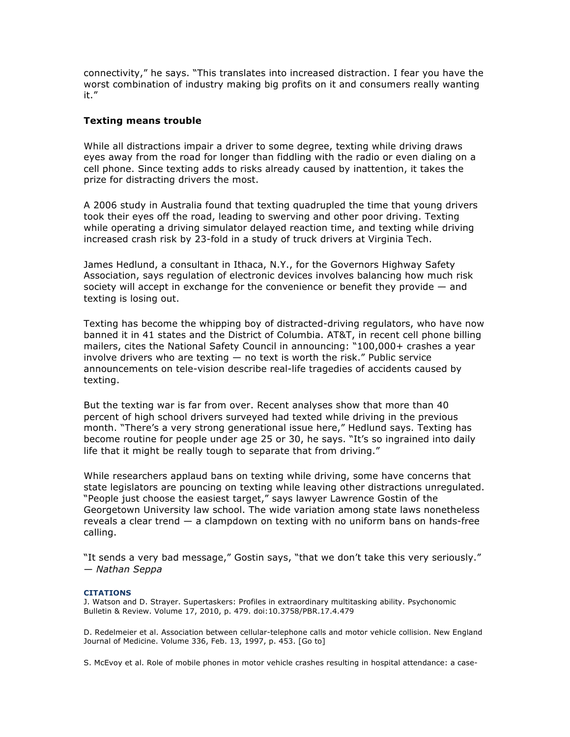connectivity," he says. "This translates into increased distraction. I fear you have the worst combination of industry making big profits on it and consumers really wanting it."

### **Texting means trouble**

While all distractions impair a driver to some degree, texting while driving draws eyes away from the road for longer than fiddling with the radio or even dialing on a cell phone. Since texting adds to risks already caused by inattention, it takes the prize for distracting drivers the most.

A 2006 study in Australia found that texting quadrupled the time that young drivers took their eyes off the road, leading to swerving and other poor driving. Texting while operating a driving simulator delayed reaction time, and texting while driving increased crash risk by 23-fold in a study of truck drivers at Virginia Tech.

James Hedlund, a consultant in Ithaca, N.Y., for the Governors Highway Safety Association, says regulation of electronic devices involves balancing how much risk society will accept in exchange for the convenience or benefit they provide — and texting is losing out.

Texting has become the whipping boy of distracted-driving regulators, who have now banned it in 41 states and the District of Columbia. AT&T, in recent cell phone billing mailers, cites the National Safety Council in announcing: "100,000+ crashes a year involve drivers who are texting — no text is worth the risk." Public service announcements on tele-vision describe real-life tragedies of accidents caused by texting.

But the texting war is far from over. Recent analyses show that more than 40 percent of high school drivers surveyed had texted while driving in the previous month. "There's a very strong generational issue here," Hedlund says. Texting has become routine for people under age 25 or 30, he says. "It's so ingrained into daily life that it might be really tough to separate that from driving."

While researchers applaud bans on texting while driving, some have concerns that state legislators are pouncing on texting while leaving other distractions unregulated. "People just choose the easiest target," says lawyer Lawrence Gostin of the Georgetown University law school. The wide variation among state laws nonetheless reveals a clear trend — a clampdown on texting with no uniform bans on hands-free calling.

"It sends a very bad message," Gostin says, "that we don't take this very seriously." — *Nathan Seppa*

#### **CITATIONS**

J. Watson and D. Strayer. Supertaskers: Profiles in extraordinary multitasking ability. Psychonomic Bulletin & Review. Volume 17, 2010, p. 479. doi:10.3758/PBR.17.4.479

D. Redelmeier et al. Association between cellular-telephone calls and motor vehicle collision. New England Journal of Medicine. Volume 336, Feb. 13, 1997, p. 453. [Go to]

S. McEvoy et al. Role of mobile phones in motor vehicle crashes resulting in hospital attendance: a case-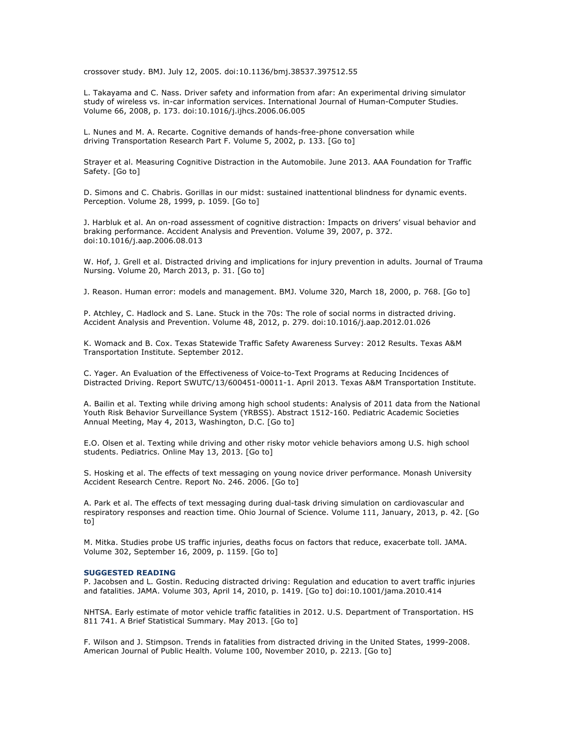crossover study. BMJ. July 12, 2005. doi:10.1136/bmj.38537.397512.55

L. Takayama and C. Nass. Driver safety and information from afar: An experimental driving simulator study of wireless vs. in-car information services. International Journal of Human-Computer Studies. Volume 66, 2008, p. 173. doi:10.1016/j.ijhcs.2006.06.005

L. Nunes and M. A. Recarte. Cognitive demands of hands-free-phone conversation while driving Transportation Research Part F. Volume 5, 2002, p. 133. [Go to]

Strayer et al. Measuring Cognitive Distraction in the Automobile. June 2013. AAA Foundation for Traffic Safety. [Go to]

D. Simons and C. Chabris. Gorillas in our midst: sustained inattentional blindness for dynamic events. Perception. Volume 28, 1999, p. 1059. [Go to]

J. Harbluk et al. An on-road assessment of cognitive distraction: Impacts on drivers' visual behavior and braking performance. Accident Analysis and Prevention. Volume 39, 2007, p. 372. doi:10.1016/j.aap.2006.08.013

W. Hof, J. Grell et al. Distracted driving and implications for injury prevention in adults. Journal of Trauma Nursing. Volume 20, March 2013, p. 31. [Go to]

J. Reason. Human error: models and management. BMJ. Volume 320, March 18, 2000, p. 768. [Go to]

P. Atchley, C. Hadlock and S. Lane. Stuck in the 70s: The role of social norms in distracted driving. Accident Analysis and Prevention. Volume 48, 2012, p. 279. doi:10.1016/j.aap.2012.01.026

K. Womack and B. Cox. Texas Statewide Traffic Safety Awareness Survey: 2012 Results. Texas A&M Transportation Institute. September 2012.

C. Yager. An Evaluation of the Effectiveness of Voice-to-Text Programs at Reducing Incidences of Distracted Driving. Report SWUTC/13/600451-00011-1. April 2013. Texas A&M Transportation Institute.

A. Bailin et al. Texting while driving among high school students: Analysis of 2011 data from the National Youth Risk Behavior Surveillance System (YRBSS). Abstract 1512-160. Pediatric Academic Societies Annual Meeting, May 4, 2013, Washington, D.C. [Go to]

E.O. Olsen et al. Texting while driving and other risky motor vehicle behaviors among U.S. high school students. Pediatrics. Online May 13, 2013. [Go to]

S. Hosking et al. The effects of text messaging on young novice driver performance. Monash University Accident Research Centre. Report No. 246. 2006. [Go to]

A. Park et al. The effects of text messaging during dual-task driving simulation on cardiovascular and respiratory responses and reaction time. Ohio Journal of Science. Volume 111, January, 2013, p. 42. [Go to]

M. Mitka. Studies probe US traffic injuries, deaths focus on factors that reduce, exacerbate toll. JAMA. Volume 302, September 16, 2009, p. 1159. [Go to]

#### **SUGGESTED READING**

P. Jacobsen and L. Gostin. Reducing distracted driving: Regulation and education to avert traffic injuries and fatalities. JAMA. Volume 303, April 14, 2010, p. 1419. [Go to] doi:10.1001/jama.2010.414

NHTSA. Early estimate of motor vehicle traffic fatalities in 2012. U.S. Department of Transportation. HS 811 741. A Brief Statistical Summary. May 2013. [Go to]

F. Wilson and J. Stimpson. Trends in fatalities from distracted driving in the United States, 1999-2008. American Journal of Public Health. Volume 100, November 2010, p. 2213. [Go to]